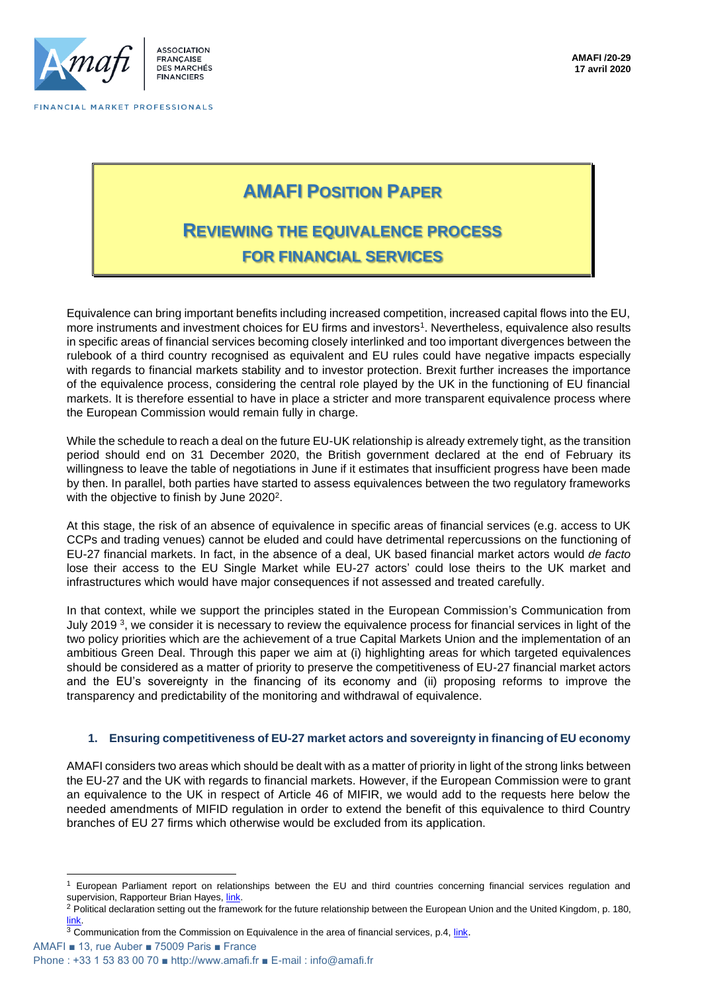

# **AMAFI POSITION PAPER**

# **REVIEWING THE EQUIVALENCE PROCESS FOR FINANCIAL SERVICES**

Equivalence can bring important benefits including increased competition, increased capital flows into the EU, more instruments and investment choices for EU firms and investors<sup>1</sup>. Nevertheless, equivalence also results in specific areas of financial services becoming closely interlinked and too important divergences between the rulebook of a third country recognised as equivalent and EU rules could have negative impacts especially with regards to financial markets stability and to investor protection. Brexit further increases the importance of the equivalence process, considering the central role played by the UK in the functioning of EU financial markets. It is therefore essential to have in place a stricter and more transparent equivalence process where the European Commission would remain fully in charge.

While the schedule to reach a deal on the future EU-UK relationship is already extremely tight, as the transition period should end on 31 December 2020, the British government declared at the end of February its willingness to leave the table of negotiations in June if it estimates that insufficient progress have been made by then. In parallel, both parties have started to assess equivalences between the two regulatory frameworks with the objective to finish by June 2020<sup>2</sup>.

At this stage, the risk of an absence of equivalence in specific areas of financial services (e.g. access to UK CCPs and trading venues) cannot be eluded and could have detrimental repercussions on the functioning of EU-27 financial markets. In fact, in the absence of a deal, UK based financial market actors would *de facto* lose their access to the EU Single Market while EU-27 actors' could lose theirs to the UK market and infrastructures which would have major consequences if not assessed and treated carefully.

In that context, while we support the principles stated in the European Commission's Communication from July 2019<sup>3</sup>, we consider it is necessary to review the equivalence process for financial services in light of the two policy priorities which are the achievement of a true Capital Markets Union and the implementation of an ambitious Green Deal. Through this paper we aim at (i) highlighting areas for which targeted equivalences should be considered as a matter of priority to preserve the competitiveness of EU-27 financial market actors and the EU's sovereignty in the financing of its economy and (ii) proposing reforms to improve the transparency and predictability of the monitoring and withdrawal of equivalence.

## **1. Ensuring competitiveness of EU-27 market actors and sovereignty in financing of EU economy**

AMAFI considers two areas which should be dealt with as a matter of priority in light of the strong links between the EU-27 and the UK with regards to financial markets. However, if the European Commission were to grant an equivalence to the UK in respect of Article 46 of MIFIR, we would add to the requests here below the needed amendments of MIFID regulation in order to extend the benefit of this equivalence to third Country branches of EU 27 firms which otherwise would be excluded from its application.

<sup>3</sup> Communication from the Commission on Equivalence in the area of financial services, p.4, *link*.

AMAFI ■ 13, rue Auber ■ 75009 Paris ■ France

Phone : +33 1 53 83 00 70 ■ http://www.amafi.fr ■ E-mail : info@amafi.fr

<sup>&</sup>lt;sup>1</sup> European Parliament report on relationships between the EU and third countries concerning financial services regulation and supervision, Rapporteur Brian Hayes, *link*.

<sup>&</sup>lt;sup>2</sup> Political declaration setting out the framework for the future relationship between the European Union and the United Kingdom, p. 180, [link.](https://eur-lex.europa.eu/legal-content/EN/TXT/PDF/?uri=OJ:C:2019:384I:FULL&from=EN)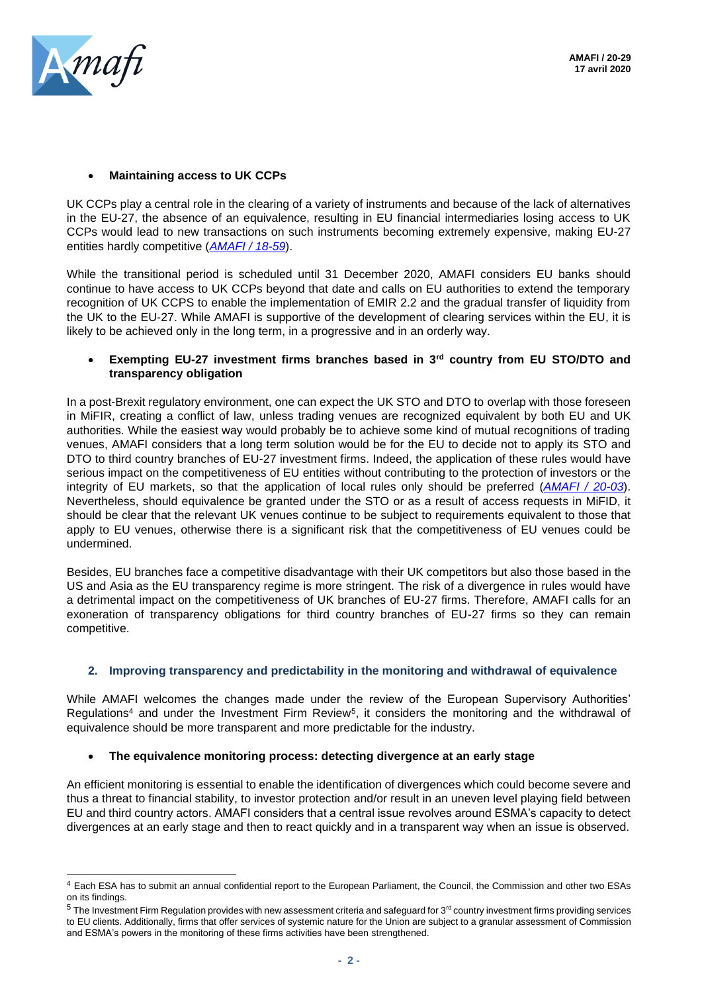

## • **Maintaining access to UK CCPs**

UK CCPs play a central role in the clearing of a variety of instruments and because of the lack of alternatives in the EU-27, the absence of an equivalence, resulting in EU financial intermediaries losing access to UK CCPs would lead to new transactions on such instruments becoming extremely expensive, making EU-27 entities hardly competitive (*[AMAFI / 18-59](http://amafi.fr/download/pages/vWzcXbsfUmP86cfgC6lXDteHXFlEfm3FpAOqA6R2.pdf)*).

While the transitional period is scheduled until 31 December 2020, AMAFI considers EU banks should continue to have access to UK CCPs beyond that date and calls on EU authorities to extend the temporary recognition of UK CCPS to enable the implementation of EMIR 2.2 and the gradual transfer of liquidity from the UK to the EU-27. While AMAFI is supportive of the development of clearing services within the EU, it is likely to be achieved only in the long term, in a progressive and in an orderly way.

### • **Exempting EU-27 investment firms branches based in 3rd country from EU STO/DTO and transparency obligation**

In a post-Brexit regulatory environment, one can expect the UK STO and DTO to overlap with those foreseen in MiFIR, creating a conflict of law, unless trading venues are recognized equivalent by both EU and UK authorities. While the easiest way would probably be to achieve some kind of mutual recognitions of trading venues, AMAFI considers that a long term solution would be for the EU to decide not to apply its STO and DTO to third country branches of EU-27 investment firms. Indeed, the application of these rules would have serious impact on the competitiveness of EU entities without contributing to the protection of investors or the integrity of EU markets, so that the application of local rules only should be preferred (*[AMAFI / 20-03](http://amafi.fr/download/pages/qkFr0jfAWFQNavOCormKqTnz1sUKzelyI1VsQHeC.pdf)*). Nevertheless, should equivalence be granted under the STO or as a result of access requests in MiFID, it should be clear that the relevant UK venues continue to be subject to requirements equivalent to those that apply to EU venues, otherwise there is a significant risk that the competitiveness of EU venues could be undermined.

Besides, EU branches face a competitive disadvantage with their UK competitors but also those based in the US and Asia as the EU transparency regime is more stringent. The risk of a divergence in rules would have a detrimental impact on the competitiveness of UK branches of EU-27 firms. Therefore, AMAFI calls for an exoneration of transparency obligations for third country branches of EU-27 firms so they can remain competitive.

## **2. Improving transparency and predictability in the monitoring and withdrawal of equivalence**

While AMAFI welcomes the changes made under the review of the European Supervisory Authorities' Regulations<sup>4</sup> and under the Investment Firm Review<sup>5</sup>, it considers the monitoring and the withdrawal of equivalence should be more transparent and more predictable for the industry.

### • **The equivalence monitoring process: detecting divergence at an early stage**

An efficient monitoring is essential to enable the identification of divergences which could become severe and thus a threat to financial stability, to investor protection and/or result in an uneven level playing field between EU and third country actors. AMAFI considers that a central issue revolves around ESMA's capacity to detect divergences at an early stage and then to react quickly and in a transparent way when an issue is observed.

<sup>4</sup> Each ESA has to submit an annual confidential report to the European Parliament, the Council, the Commission and other two ESAs on its findings.

 $5$  The Investment Firm Regulation provides with new assessment criteria and safeguard for  $3<sup>rd</sup>$  country investment firms providing services to EU clients. Additionally, firms that offer services of systemic nature for the Union are subject to a granular assessment of Commission and ESMA's powers in the monitoring of these firms activities have been strengthened.